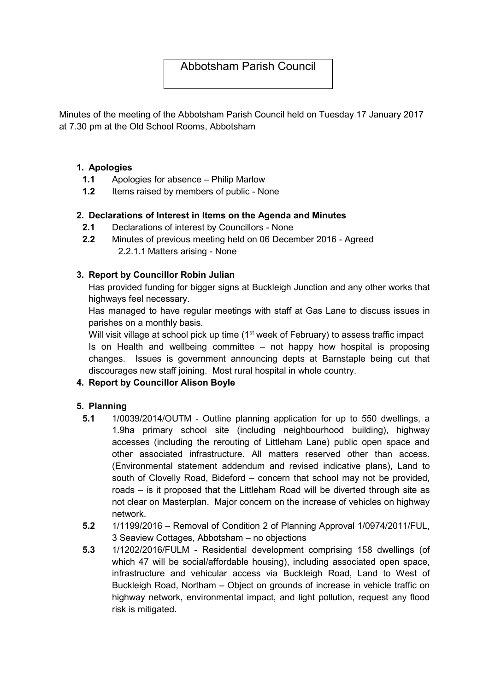# Abbotsham Parish Council

Minutes of the meeting of the Abbotsham Parish Council held on Tuesday 17 January 2017 at 7.30 pm at the Old School Rooms, Abbotsham

### 1. Apologies

- 1.1 Apologies for absence Philip Marlow
- 1.2 Items raised by members of public None

### 2. Declarations of Interest in Items on the Agenda and Minutes

- 2.1 Declarations of interest by Councillors None
- 2.2 Minutes of previous meeting held on 06 December 2016 Agreed 2.2.1.1 Matters arising - None

### 3. Report by Councillor Robin Julian

Has provided funding for bigger signs at Buckleigh Junction and any other works that highways feel necessary.

Has managed to have regular meetings with staff at Gas Lane to discuss issues in parishes on a monthly basis.

Will visit village at school pick up time (1<sup>st</sup> week of February) to assess traffic impact Is on Health and wellbeing committee – not happy how hospital is proposing changes. Issues is government announcing depts at Barnstaple being cut that discourages new staff joining. Most rural hospital in whole country.

## 4. Report by Councillor Alison Boyle

#### 5. Planning

- 5.1 1/0039/2014/OUTM Outline planning application for up to 550 dwellings, a 1.9ha primary school site (including neighbourhood building), highway accesses (including the rerouting of Littleham Lane) public open space and other associated infrastructure. All matters reserved other than access. (Environmental statement addendum and revised indicative plans), Land to south of Clovelly Road, Bideford – concern that school may not be provided, roads – is it proposed that the Littleham Road will be diverted through site as not clear on Masterplan. Major concern on the increase of vehicles on highway network.
- 5.2 1/1199/2016 Removal of Condition 2 of Planning Approval 1/0974/2011/FUL, 3 Seaview Cottages, Abbotsham – no objections
- 5.3 1/1202/2016/FULM Residential development comprising 158 dwellings (of which 47 will be social/affordable housing), including associated open space, infrastructure and vehicular access via Buckleigh Road, Land to West of Buckleigh Road, Northam – Object on grounds of increase in vehicle traffic on highway network, environmental impact, and light pollution, request any flood risk is mitigated.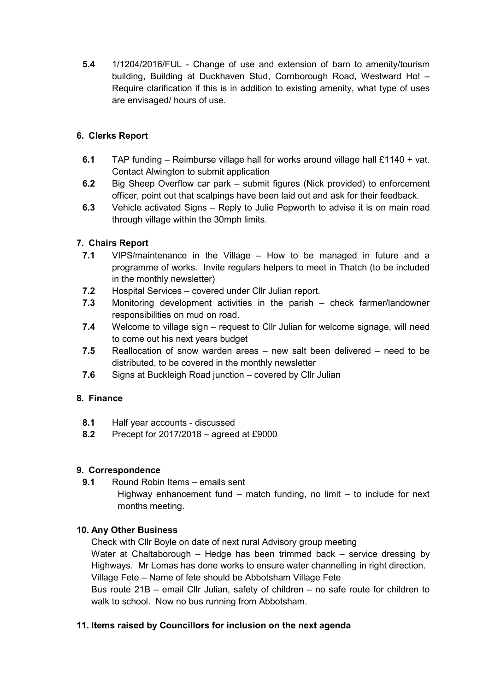5.4 1/1204/2016/FUL - Change of use and extension of barn to amenity/tourism building, Building at Duckhaven Stud, Cornborough Road, Westward Ho! – Require clarification if this is in addition to existing amenity, what type of uses are envisaged/ hours of use.

# 6. Clerks Report

- 6.1 TAP funding Reimburse village hall for works around village hall £1140 + vat. Contact Alwington to submit application
- 6.2 Big Sheep Overflow car park submit figures (Nick provided) to enforcement officer, point out that scalpings have been laid out and ask for their feedback.
- 6.3 Vehicle activated Signs Reply to Julie Pepworth to advise it is on main road through village within the 30mph limits.

# 7. Chairs Report

- 7.1 VIPS/maintenance in the Village How to be managed in future and a programme of works. Invite regulars helpers to meet in Thatch (to be included in the monthly newsletter)
- 7.2 Hospital Services covered under Cllr Julian report.
- 7.3 Monitoring development activities in the parish check farmer/landowner responsibilities on mud on road.
- 7.4 Welcome to village sign request to Cllr Julian for welcome signage, will need to come out his next years budget
- 7.5 Reallocation of snow warden areas new salt been delivered need to be distributed, to be covered in the monthly newsletter
- 7.6 Signs at Buckleigh Road junction covered by Cllr Julian

## 8. Finance

- 8.1 Half year accounts discussed
- 8.2 Precept for 2017/2018 agreed at £9000

#### 9. Correspondence

9.1 Round Robin Items – emails sent

Highway enhancement fund  $-$  match funding, no limit  $-$  to include for next months meeting.

## 10. Any Other Business

Check with Cllr Boyle on date of next rural Advisory group meeting Water at Chaltaborough – Hedge has been trimmed back – service dressing by Highways. Mr Lomas has done works to ensure water channelling in right direction. Village Fete – Name of fete should be Abbotsham Village Fete Bus route 21B – email Cllr Julian, safety of children – no safe route for children to walk to school. Now no bus running from Abbotsham.

## 11. Items raised by Councillors for inclusion on the next agenda